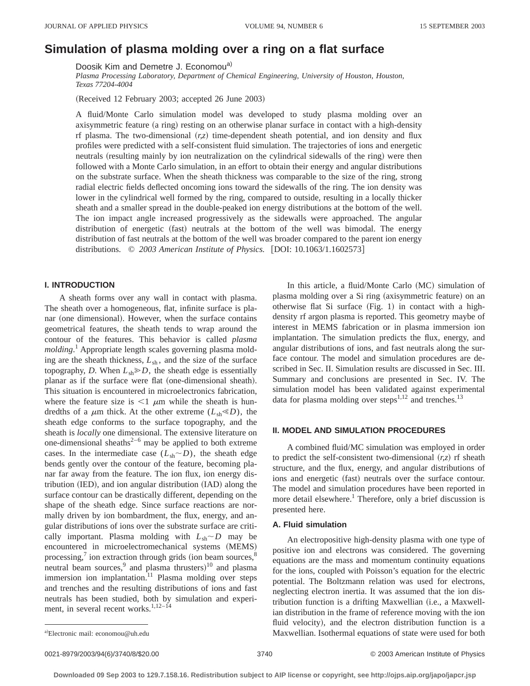# **Simulation of plasma molding over a ring on a flat surface**

Doosik Kim and Demetre J. Economou<sup>a)</sup>

*Plasma Processing Laboratory, Department of Chemical Engineering, University of Houston, Houston, Texas 77204-4004*

(Received 12 February 2003; accepted 26 June 2003)

A fluid/Monte Carlo simulation model was developed to study plasma molding over an axisymmetric feature (a ring) resting on an otherwise planar surface in contact with a high-density rf plasma. The two-dimensional  $(r, z)$  time-dependent sheath potential, and ion density and flux profiles were predicted with a self-consistent fluid simulation. The trajectories of ions and energetic neutrals (resulting mainly by ion neutralization on the cylindrical sidewalls of the ring) were then followed with a Monte Carlo simulation, in an effort to obtain their energy and angular distributions on the substrate surface. When the sheath thickness was comparable to the size of the ring, strong radial electric fields deflected oncoming ions toward the sidewalls of the ring. The ion density was lower in the cylindrical well formed by the ring, compared to outside, resulting in a locally thicker sheath and a smaller spread in the double-peaked ion energy distributions at the bottom of the well. The ion impact angle increased progressively as the sidewalls were approached. The angular distribution of energetic (fast) neutrals at the bottom of the well was bimodal. The energy distribution of fast neutrals at the bottom of the well was broader compared to the parent ion energy distributions.  $\odot$  2003 American Institute of Physics. [DOI: 10.1063/1.1602573]

# **I. INTRODUCTION**

A sheath forms over any wall in contact with plasma. The sheath over a homogeneous, flat, infinite surface is planar (one dimensional). However, when the surface contains geometrical features, the sheath tends to wrap around the contour of the features. This behavior is called *plasma molding*. <sup>1</sup> Appropriate length scales governing plasma molding are the sheath thickness,  $L_{sh}$ , and the size of the surface topography, *D*. When  $L_{sh} \gg D$ , the sheath edge is essentially planar as if the surface were flat (one-dimensional sheath). This situation is encountered in microelectronics fabrication, where the feature size is  $\leq 1$   $\mu$ m while the sheath is hundredths of a  $\mu$ m thick. At the other extreme ( $L_{sh} \le D$ ), the sheath edge conforms to the surface topography, and the sheath is *locally* one dimensional. The extensive literature on one-dimensional sheaths<sup>2–6</sup> may be applied to both extreme cases. In the intermediate case  $(L_{sh} \sim D)$ , the sheath edge bends gently over the contour of the feature, becoming planar far away from the feature. The ion flux, ion energy dis $tribution (IED), and ion angular distribution (IAD) along the$ surface contour can be drastically different, depending on the shape of the sheath edge. Since surface reactions are normally driven by ion bombardment, the flux, energy, and angular distributions of ions over the substrate surface are critically important. Plasma molding with  $L_{sh} \sim D$  may be encountered in microelectromechanical systems (MEMS) processing, $\frac{7}{1}$  ion extraction through grids (ion beam sources, $\frac{8}{1}$ ) neutral beam sources,<sup>9</sup> and plasma thrusters)<sup>10</sup> and plasma immersion ion implantation. $11$  Plasma molding over steps and trenches and the resulting distributions of ions and fast neutrals has been studied, both by simulation and experiment, in several recent works.<sup>1,12–14</sup>

In this article, a fluid/Monte Carlo (MC) simulation of plasma molding over a Si ring (axisymmetric feature) on an otherwise flat Si surface  $(Fig. 1)$  in contact with a highdensity rf argon plasma is reported. This geometry maybe of interest in MEMS fabrication or in plasma immersion ion implantation. The simulation predicts the flux, energy, and angular distributions of ions, and fast neutrals along the surface contour. The model and simulation procedures are described in Sec. II. Simulation results are discussed in Sec. III. Summary and conclusions are presented in Sec. IV. The simulation model has been validated against experimental data for plasma molding over steps<sup>1,12</sup> and trenches.<sup>13</sup>

## **II. MODEL AND SIMULATION PROCEDURES**

A combined fluid/MC simulation was employed in order to predict the self-consistent two-dimensional  $(r, z)$  rf sheath structure, and the flux, energy, and angular distributions of ions and energetic (fast) neutrals over the surface contour. The model and simulation procedures have been reported in more detail elsewhere.<sup>1</sup> Therefore, only a brief discussion is presented here.

### **A. Fluid simulation**

An electropositive high-density plasma with one type of positive ion and electrons was considered. The governing equations are the mass and momentum continuity equations for the ions, coupled with Poisson's equation for the electric potential. The Boltzmann relation was used for electrons, neglecting electron inertia. It was assumed that the ion distribution function is a drifting Maxwellian (i.e., a Maxwellian distribution in the frame of reference moving with the ion fluid velocity), and the electron distribution function is a Maxwellian. Isothermal equations of state were used for both

Electronic mail: economou@uh.edu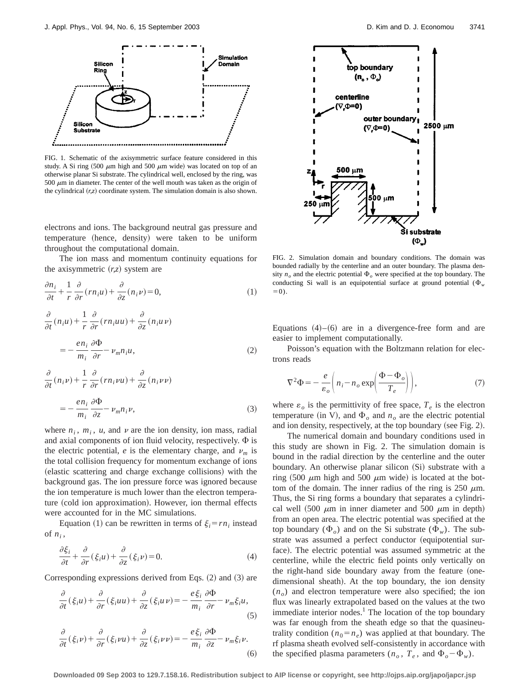

FIG. 1. Schematic of the axisymmetric surface feature considered in this study. A Si ring  $(500 \mu m)$  high and  $500 \mu m$  wide) was located on top of an otherwise planar Si substrate. The cylindrical well, enclosed by the ring, was 500  $\mu$ m in diameter. The center of the well mouth was taken as the origin of the cylindrical  $(r, z)$  coordinate system. The simulation domain is also shown.

electrons and ions. The background neutral gas pressure and temperature (hence, density) were taken to be uniform throughout the computational domain.

The ion mass and momentum continuity equations for the axisymmetric  $(r, z)$  system are

$$
\frac{\partial n_i}{\partial t} + \frac{1}{r} \frac{\partial}{\partial r} (r n_i u) + \frac{\partial}{\partial z} (n_i v) = 0,
$$
\n(1)

$$
\frac{\partial}{\partial t}(n_i u) + \frac{1}{r} \frac{\partial}{\partial r}(r n_i u u) + \frac{\partial}{\partial z}(n_i u v)
$$

$$
= -\frac{e n_i}{m_i} \frac{\partial \Phi}{\partial r} - v_m n_i u,
$$
(2)

$$
\frac{\partial}{\partial t}(n_i \nu) + \frac{1}{r} \frac{\partial}{\partial r}(r n_i \nu u) + \frac{\partial}{\partial z}(n_i \nu \nu)
$$
  
= 
$$
- \frac{e n_i}{m_i} \frac{\partial \Phi}{\partial z} - \nu_m n_i \nu,
$$
 (3)

where  $n_i$ ,  $m_i$ ,  $u$ , and  $v$  are the ion density, ion mass, radial and axial components of ion fluid velocity, respectively.  $\Phi$  is the electric potential, *e* is the elementary charge, and  $\nu_m$  is the total collision frequency for momentum exchange of ions (elastic scattering and charge exchange collisions) with the background gas. The ion pressure force was ignored because the ion temperature is much lower than the electron temperature (cold ion approximation). However, ion thermal effects were accounted for in the MC simulations.

Equation (1) can be rewritten in terms of  $\xi_i = rn_i$  instead of  $n_i$ ,

$$
\frac{\partial \xi_i}{\partial t} + \frac{\partial}{\partial r} (\xi_i u) + \frac{\partial}{\partial z} (\xi_i v) = 0.
$$
 (4)

Corresponding expressions derived from Eqs.  $(2)$  and  $(3)$  are

$$
\frac{\partial}{\partial t}(\xi_i u) + \frac{\partial}{\partial r}(\xi_i u u) + \frac{\partial}{\partial z}(\xi_i u v) = -\frac{e\xi_i}{m_i}\frac{\partial \Phi}{\partial r} - \nu_m \xi_i u,
$$
\n(5)



FIG. 2. Simulation domain and boundary conditions. The domain was bounded radially by the centerline and an outer boundary. The plasma density  $n<sub>o</sub>$  and the electric potential  $\Phi<sub>o</sub>$  were specified at the top boundary. The conducting Si wall is an equipotential surface at ground potential  $(\Phi_w)$  $=0$ ).

Equations  $(4)$ – $(6)$  are in a divergence-free form and are easier to implement computationally.

Poisson's equation with the Boltzmann relation for electrons reads

$$
\nabla^2 \Phi = -\frac{e}{\varepsilon_o} \left( n_i - n_o \exp \left( \frac{\Phi - \Phi_o}{T_e} \right) \right),\tag{7}
$$

where  $\varepsilon_o$  is the permittivity of free space,  $T_e$  is the electron temperature (in V), and  $\Phi$ <sub>o</sub> and  $n$ <sub>o</sub> are the electric potential and ion density, respectively, at the top boundary (see Fig. 2).

The numerical domain and boundary conditions used in this study are shown in Fig. 2. The simulation domain is bound in the radial direction by the centerline and the outer boundary. An otherwise planar silicon (Si) substrate with a ring  $(500 \mu m)$  high and  $500 \mu m$  wide) is located at the bottom of the domain. The inner radius of the ring is 250  $\mu$ m. Thus, the Si ring forms a boundary that separates a cylindrical well  $(500 \mu m)$  in inner diameter and 500  $\mu$ m in depth) from an open area. The electric potential was specified at the top boundary  $(\Phi_o)$  and on the Si substrate  $(\Phi_w)$ . The substrate was assumed a perfect conductor (equipotential surface). The electric potential was assumed symmetric at the centerline, while the electric field points only vertically on the right-hand side boundary away from the feature (onedimensional sheath). At the top boundary, the ion density  $(n<sub>o</sub>)$  and electron temperature were also specified; the ion flux was linearly extrapolated based on the values at the two immediate interior nodes. $<sup>1</sup>$  The location of the top boundary</sup> was far enough from the sheath edge so that the quasineutrality condition  $(n_0 = n_e)$  was applied at that boundary. The rf plasma sheath evolved self-consistently in accordance with the specified plasma parameters ( $n_o$ ,  $T_e$ , and  $\Phi_o - \Phi_w$ ).

**Downloaded 09 Sep 2003 to 129.7.158.16. Redistribution subject to AIP license or copyright, see http://ojps.aip.org/japo/japcr.jsp**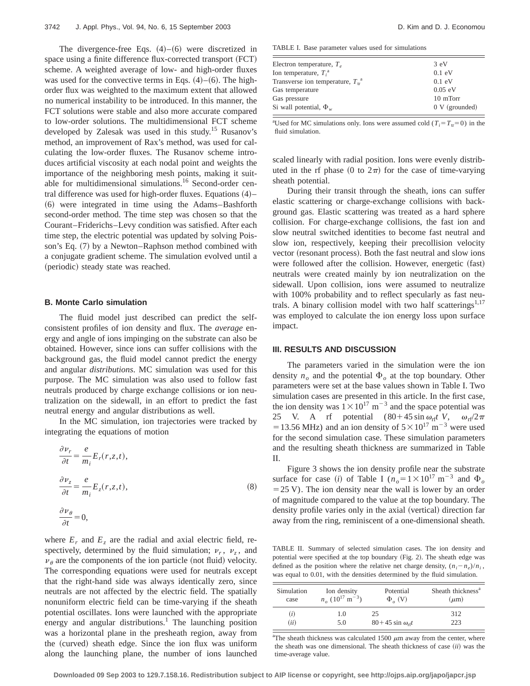The divergence-free Eqs.  $(4)$ – $(6)$  were discretized in space using a finite difference flux-corrected transport (FCT) scheme. A weighted average of low- and high-order fluxes was used for the convective terms in Eqs.  $(4)$ – $(6)$ . The highorder flux was weighted to the maximum extent that allowed no numerical instability to be introduced. In this manner, the FCT solutions were stable and also more accurate compared to low-order solutions. The multidimensional FCT scheme developed by Zalesak was used in this study.15 Rusanov's method, an improvement of Rax's method, was used for calculating the low-order fluxes. The Rusanov scheme introduces artificial viscosity at each nodal point and weights the importance of the neighboring mesh points, making it suitable for multidimensional simulations.<sup>16</sup> Second-order central difference was used for high-order fluxes. Equations  $(4)$ – ~6! were integrated in time using the Adams–Bashforth second-order method. The time step was chosen so that the Courant–Friderichs–Levy condition was satisfied. After each time step, the electric potential was updated by solving Poisson's Eq.  $(7)$  by a Newton–Raphson method combined with a conjugate gradient scheme. The simulation evolved until a (periodic) steady state was reached.

### **B. Monte Carlo simulation**

The fluid model just described can predict the selfconsistent profiles of ion density and flux. The *average* energy and angle of ions impinging on the substrate can also be obtained. However, since ions can suffer collisions with the background gas, the fluid model cannot predict the energy and angular *distributions*. MC simulation was used for this purpose. The MC simulation was also used to follow fast neutrals produced by charge exchange collisions or ion neutralization on the sidewall, in an effort to predict the fast neutral energy and angular distributions as well.

In the MC simulation, ion trajectories were tracked by integrating the equations of motion

$$
\frac{\partial \nu_r}{\partial t} = \frac{e}{m_i} E_r(r, z, t),
$$
  
\n
$$
\frac{\partial \nu_z}{\partial t} = \frac{e}{m_i} E_z(r, z, t),
$$
  
\n
$$
\frac{\partial \nu_\theta}{\partial t} = 0,
$$
\n(8)

where  $E_r$  and  $E_z$  are the radial and axial electric field, respectively, determined by the fluid simulation;  $\nu_r$ ,  $\nu_z$ , and  $\nu_{\theta}$  are the components of the ion particle (not fluid) velocity. The corresponding equations were used for neutrals except that the right-hand side was always identically zero, since neutrals are not affected by the electric field. The spatially nonuniform electric field can be time-varying if the sheath potential oscillates. Ions were launched with the appropriate energy and angular distributions.<sup>1</sup> The launching position was a horizontal plane in the presheath region, away from the (curved) sheath edge. Since the ion flux was uniform along the launching plane, the number of ions launched

TABLE I. Base parameter values used for simulations

| Electron temperature, $T_e$                | $3 \text{ eV}$           |
|--------------------------------------------|--------------------------|
| Ion temperature, $T_i^a$                   | $0.1$ eV                 |
| Transverse ion temperature, $T_{tr}^{\ a}$ | $0.1$ eV                 |
| Gas temperature                            | $0.05$ eV                |
| Gas pressure                               | 10 mTorr                 |
| Si wall potential, $\Phi_w$                | $0 \text{ V}$ (grounded) |

<sup>a</sup>Used for MC simulations only. Ions were assumed cold ( $T_i = T_{tr} = 0$ ) in the fluid simulation.

scaled linearly with radial position. Ions were evenly distributed in the rf phase (0 to  $2\pi$ ) for the case of time-varying sheath potential.

During their transit through the sheath, ions can suffer elastic scattering or charge-exchange collisions with background gas. Elastic scattering was treated as a hard sphere collision. For charge-exchange collisions, the fast ion and slow neutral switched identities to become fast neutral and slow ion, respectively, keeping their precollision velocity vector (resonant process). Both the fast neutral and slow ions were followed after the collision. However, energetic (fast) neutrals were created mainly by ion neutralization on the sidewall. Upon collision, ions were assumed to neutralize with 100% probability and to reflect specularly as fast neutrals. A binary collision model with two half scatterings<sup>1,17</sup> was employed to calculate the ion energy loss upon surface impact.

#### **III. RESULTS AND DISCUSSION**

The parameters varied in the simulation were the ion density  $n<sub>o</sub>$  and the potential  $\Phi<sub>o</sub>$  at the top boundary. Other parameters were set at the base values shown in Table I. Two simulation cases are presented in this article. In the first case, the ion density was  $1 \times 10^{17}$  m<sup>-3</sup> and the space potential was 25 V. A rf potential  $(80+45 \sin \omega_{\text{rf}}t \text{ V}, \omega_{\text{rf}}/2\pi$ =13.56 MHz) and an ion density of  $5 \times 10^{17}$  m<sup>-3</sup> were used for the second simulation case. These simulation parameters and the resulting sheath thickness are summarized in Table II.

Figure 3 shows the ion density profile near the substrate surface for case (*i*) of Table I ( $n<sub>o</sub>=1\times10^{17}$  m<sup>-3</sup> and  $\Phi$ <sub>*o*</sub>  $=$  25 V). The ion density near the wall is lower by an order of magnitude compared to the value at the top boundary. The density profile varies only in the axial (vertical) direction far away from the ring, reminiscent of a one-dimensional sheath.

TABLE II. Summary of selected simulation cases. The ion density and potential were specified at the top boundary (Fig. 2). The sheath edge was defined as the position where the relative net charge density,  $(n_i - n_e)/n_i$ , was equal to 0.01, with the densities determined by the fluid simulation.

| Simulation | Ion density                    | Potential                        | Sheath thickness <sup>a</sup> |
|------------|--------------------------------|----------------------------------|-------------------------------|
| case       | $n_e (10^{17} \text{ m}^{-3})$ | $\Phi_{\alpha}$ (V)              | $(\mu m)$                     |
| (i)        | 1.0                            | 25                               | 312                           |
| (ii)       | 5.0                            | $80+45 \sin \omega_{\text{rf}}t$ | 223                           |

<sup>a</sup>The sheath thickness was calculated 1500  $\mu$ m away from the center, where the sheath was one dimensional. The sheath thickness of case  $(ii)$  was the time-average value.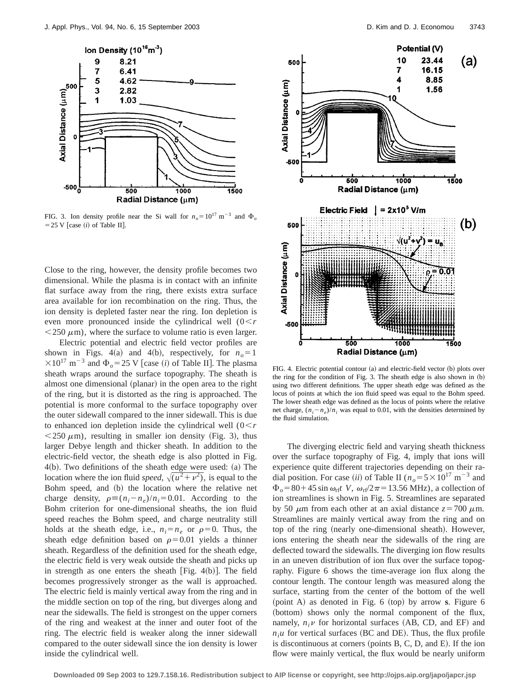

FIG. 3. Ion density profile near the Si wall for  $n_o = 10^{17} \text{ m}^{-3}$  and  $\Phi_o$  $=$  25 V [case  $(i)$  of Table II].

Close to the ring, however, the density profile becomes two dimensional. While the plasma is in contact with an infinite flat surface away from the ring, there exists extra surface area available for ion recombination on the ring. Thus, the ion density is depleted faster near the ring. Ion depletion is even more pronounced inside the cylindrical well  $(0 < r)$  $<$  250  $\mu$ m), where the surface to volume ratio is even larger.

Electric potential and electric field vector profiles are shown in Figs. 4(a) and 4(b), respectively, for  $n<sub>o</sub>=1$  $\times 10^{17}$  m<sup>-3</sup> and  $\Phi$ <sub>o</sub>=25 V [case *(i)* of Table II]. The plasma sheath wraps around the surface topography. The sheath is almost one dimensional (planar) in the open area to the right of the ring, but it is distorted as the ring is approached. The potential is more conformal to the surface topography over the outer sidewall compared to the inner sidewall. This is due to enhanced ion depletion inside the cylindrical well  $(0 < r)$  $\langle 250 \mu m \rangle$ , resulting in smaller ion density (Fig. 3), thus larger Debye length and thicker sheath. In addition to the electric-field vector, the sheath edge is also plotted in Fig.  $4(b)$ . Two definitions of the sheath edge were used:  $(a)$  The location where the ion fluid *speed*,  $\sqrt{u^2+v^2}$ , is equal to the Bohm speed, and (b) the location where the relative net charge density,  $\rho \equiv (n_i - n_e)/n_i = 0.01$ . According to the Bohm criterion for one-dimensional sheaths, the ion fluid speed reaches the Bohm speed, and charge neutrality still holds at the sheath edge, i.e.,  $n_i = n_e$  or  $\rho = 0$ . Thus, the sheath edge definition based on  $\rho$ =0.01 yields a thinner sheath. Regardless of the definition used for the sheath edge, the electric field is very weak outside the sheath and picks up in strength as one enters the sheath  $[Fig. 4(b)].$  The field becomes progressively stronger as the wall is approached. The electric field is mainly vertical away from the ring and in the middle section on top of the ring, but diverges along and near the sidewalls. The field is strongest on the upper corners of the ring and weakest at the inner and outer foot of the ring. The electric field is weaker along the inner sidewall compared to the outer sidewall since the ion density is lower inside the cylindrical well.



FIG. 4. Electric potential contour  $(a)$  and electric-field vector  $(b)$  plots over the ring for the condition of Fig. 3. The sheath edge is also shown in  $(b)$ using two different definitions. The upper sheath edge was defined as the locus of points at which the ion fluid speed was equal to the Bohm speed. The lower sheath edge was defined as the locus of points where the relative net charge,  $(n_i - n_e)/n_i$  was equal to 0.01, with the densities determined by the fluid simulation.

The diverging electric field and varying sheath thickness over the surface topography of Fig. 4, imply that ions will experience quite different trajectories depending on their radial position. For case *(ii)* of Table II ( $n<sub>o</sub> = 5 \times 10^{17}$  m<sup>-3</sup> and  $\Phi_o = 80 + 45 \sin \omega_{\text{rf}} t$  V,  $\omega_{\text{rf}}/2\pi = 13.56$  MHz), a collection of ion streamlines is shown in Fig. 5. Streamlines are separated by 50  $\mu$ m from each other at an axial distance  $z=700 \mu$ m. Streamlines are mainly vertical away from the ring and on top of the ring (nearly one-dimensional sheath). However, ions entering the sheath near the sidewalls of the ring are deflected toward the sidewalls. The diverging ion flow results in an uneven distribution of ion flux over the surface topography. Figure 6 shows the time-average ion flux along the contour length. The contour length was measured along the surface, starting from the center of the bottom of the well  $~p$ oint A) as denoted in Fig. 6  $~(p$ op) by arrow **s**. Figure 6 (bottom) shows only the normal component of the flux, namely,  $n_i\nu$  for horizontal surfaces (AB, CD, and EF) and  $n_i$ u for vertical surfaces (BC and DE). Thus, the flux profile is discontinuous at corners (points  $B, C, D$ , and  $E$ ). If the ion flow were mainly vertical, the flux would be nearly uniform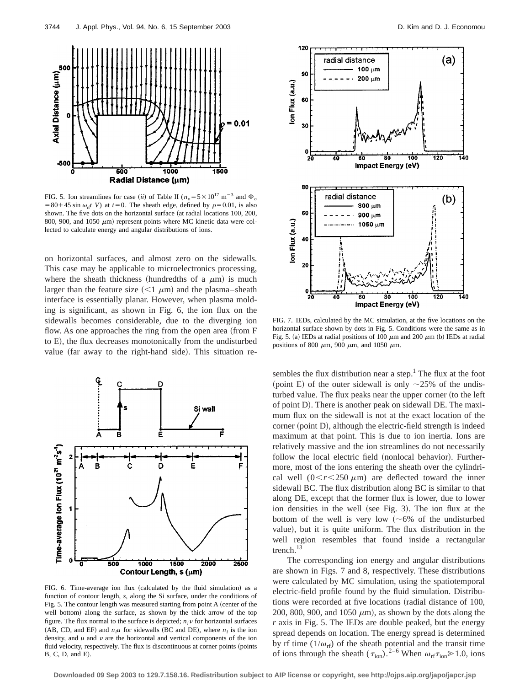

FIG. 5. Ion streamlines for case *(ii)* of Table II ( $n<sub>o</sub>=5\times10^{17}$  m<sup>-3</sup> and  $\Phi<sub>o</sub>$  $=80+45 \sin \omega_{\text{rf}} t$  V) at  $t=0$ . The sheath edge, defined by  $\rho=0.01$ , is also shown. The five dots on the horizontal surface (at radial locations 100, 200, 800, 900, and 1050  $\mu$ m) represent points where MC kinetic data were collected to calculate energy and angular distributions of ions.

on horizontal surfaces, and almost zero on the sidewalls. This case may be applicable to microelectronics processing, where the sheath thickness (hundredths of a  $\mu$ m) is much larger than the feature size  $\left($  < 1  $\mu$ m) and the plasma–sheath interface is essentially planar. However, when plasma molding is significant, as shown in Fig. 6, the ion flux on the sidewalls becomes considerable, due to the diverging ion flow. As one approaches the ring from the open area  $({\rm from F})$ to E), the flux decreases monotonically from the undisturbed value (far away to the right-hand side). This situation re-



FIG. 6. Time-average ion flux (calculated by the fluid simulation) as a function of contour length, *s*, along the Si surface, under the conditions of Fig. 5. The contour length was measured starting from point A (center of the well bottom) along the surface, as shown by the thick arrow of the top figure. The flux normal to the surface is depicted;  $n_i v$  for horizontal surfaces (AB, CD, and EF) and  $n_i u$  for sidewalls (BC and DE), where  $n_i$  is the ion density, and  $u$  and  $v$  are the horizontal and vertical components of the ion fluid velocity, respectively. The flux is discontinuous at corner points (points  $B, C, D, and E$ .



FIG. 7. IEDs, calculated by the MC simulation, at the five locations on the horizontal surface shown by dots in Fig. 5. Conditions were the same as in Fig. 5. (a) IEDs at radial positions of 100  $\mu$ m and 200  $\mu$ m (b) IEDs at radial positions of 800  $\mu$ m, 900  $\mu$ m, and 1050  $\mu$ m.

sembles the flux distribution near a step.<sup>1</sup> The flux at the foot (point E) of the outer sidewall is only  $\sim$ 25% of the undisturbed value. The flux peaks near the upper corner (to the left of point D). There is another peak on sidewall DE. The maximum flux on the sidewall is not at the exact location of the corner (point D), although the electric-field strength is indeed maximum at that point. This is due to ion inertia. Ions are relatively massive and the ion streamlines do not necessarily follow the local electric field (nonlocal behavior). Furthermore, most of the ions entering the sheath over the cylindrical well  $(0 < r < 250 \mu m)$  are deflected toward the inner sidewall BC. The flux distribution along BC is similar to that along DE, except that the former flux is lower, due to lower ion densities in the well (see Fig. 3). The ion flux at the bottom of the well is very low  $({\sim}6\%$  of the undisturbed value), but it is quite uniform. The flux distribution in the well region resembles that found inside a rectangular trench.<sup>13</sup>

The corresponding ion energy and angular distributions are shown in Figs. 7 and 8, respectively. These distributions were calculated by MC simulation, using the spatiotemporal electric-field profile found by the fluid simulation. Distributions were recorded at five locations (radial distance of 100, 200, 800, 900, and 1050  $\mu$ m), as shown by the dots along the *r* axis in Fig. 5. The IEDs are double peaked, but the energy spread depends on location. The energy spread is determined by rf time  $(1/\omega_{\text{rf}})$  of the sheath potential and the transit time of ions through the sheath ( $\tau_{\rm ion}$ ).<sup>2–6</sup> When  $\omega_{\rm rf} \tau_{\rm ion} \ge 1.0$ , ions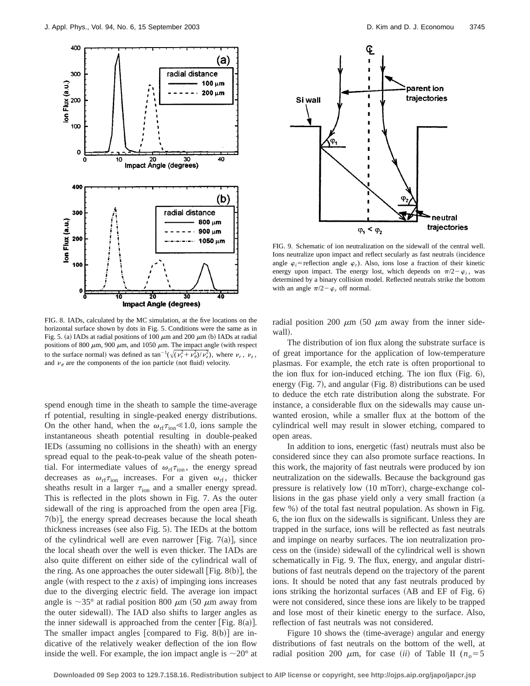

FIG. 8. IADs, calculated by the MC simulation, at the five locations on the horizontal surface shown by dots in Fig. 5. Conditions were the same as in Fig. 5. (a) IADs at radial positions of 100  $\mu$ m and 200  $\mu$ m (b) IADs at radial positions of 800  $\mu$ m, 900  $\mu$ m, and 1050  $\mu$ m. The impact angle (with respect to the surface normal) was defined as  $\tan^{-1}(\sqrt{(v_r^2 + v_\theta^2)/v_z^2})$ , where  $v_r$ ,  $v_z$ , and  $\nu_{\theta}$  are the components of the ion particle (not fluid) velocity.

spend enough time in the sheath to sample the time-average rf potential, resulting in single-peaked energy distributions. On the other hand, when the  $\omega_{\text{rf}}\tau_{\text{ion}}\ll 1.0$ , ions sample the instantaneous sheath potential resulting in double-peaked IEDs (assuming no collisions in the sheath) with an energy spread equal to the peak-to-peak value of the sheath potential. For intermediate values of  $\omega_{\text{rf}} \tau_{\text{ion}}$ , the energy spread decreases as  $\omega_{\text{rf}}\tau_{\text{ion}}$  increases. For a given  $\omega_{\text{rf}}$ , thicker sheaths result in a larger  $\tau_{\text{ion}}$  and a smaller energy spread. This is reflected in the plots shown in Fig. 7. As the outer sidewall of the ring is approached from the open area [Fig.  $7(b)$ , the energy spread decreases because the local sheath thickness increases (see also Fig.  $5$ ). The IEDs at the bottom of the cylindrical well are even narrower [Fig. 7(a)], since the local sheath over the well is even thicker. The IADs are also quite different on either side of the cylindrical wall of the ring. As one approaches the outer sidewall  $[Fig. 8(b)],$  the angle (with respect to the  $z$  axis) of impinging ions increases due to the diverging electric field. The average ion impact angle is  $\sim$ 35° at radial position 800  $\mu$ m (50  $\mu$ m away from the outer sidewall). The IAD also shifts to larger angles as the inner sidewall is approached from the center [Fig. 8(a)]. The smaller impact angles [compared to Fig. 8 $(b)$ ] are indicative of the relatively weaker deflection of the ion flow inside the well. For example, the ion impact angle is  $\sim 20^{\circ}$  at



FIG. 9. Schematic of ion neutralization on the sidewall of the central well. Ions neutralize upon impact and reflect secularly as fast neutrals (incidence angle  $\varphi_i$ = reflection angle  $\varphi_r$ ). Also, ions lose a fraction of their kinetic energy upon impact. The energy lost, which depends on  $\pi/2 - \varphi_i$ , was determined by a binary collision model. Reflected neutrals strike the bottom with an angle  $\pi/2-\varphi_r$  off normal.

radial position 200  $\mu$ m (50  $\mu$ m away from the inner sidewall).

The distribution of ion flux along the substrate surface is of great importance for the application of low-temperature plasmas. For example, the etch rate is often proportional to the ion flux for ion-induced etching. The ion flux  $(Fig. 6)$ , energy  $(Fig. 7)$ , and angular  $(Fig. 8)$  distributions can be used to deduce the etch rate distribution along the substrate. For instance, a considerable flux on the sidewalls may cause unwanted erosion, while a smaller flux at the bottom of the cylindrical well may result in slower etching, compared to open areas.

In addition to ions, energetic (fast) neutrals must also be considered since they can also promote surface reactions. In this work, the majority of fast neutrals were produced by ion neutralization on the sidewalls. Because the background gas pressure is relatively low  $(10 \text{ mTorr})$ , charge-exchange collisions in the gas phase yield only a very small fraction  $(a$ few %) of the total fast neutral population. As shown in Fig. 6, the ion flux on the sidewalls is significant. Unless they are trapped in the surface, ions will be reflected as fast neutrals and impinge on nearby surfaces. The ion neutralization process on the (inside) sidewall of the cylindrical well is shown schematically in Fig. 9. The flux, energy, and angular distributions of fast neutrals depend on the trajectory of the parent ions. It should be noted that any fast neutrals produced by ions striking the horizontal surfaces  $(AB \text{ and } EF \text{ of } Fig. 6)$ were not considered, since these ions are likely to be trapped and lose most of their kinetic energy to the surface. Also, reflection of fast neutrals was not considered.

Figure 10 shows the (time-average) angular and energy distributions of fast neutrals on the bottom of the well, at radial position 200  $\mu$ m, for case *(ii)* of Table II ( $n<sub>o</sub>=5$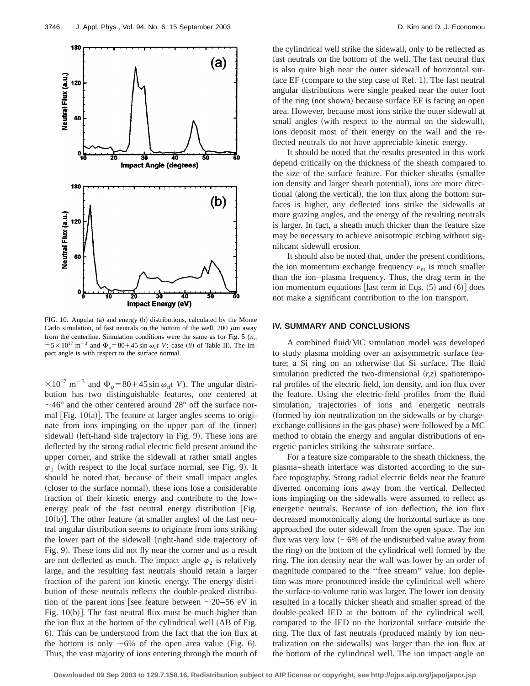

FIG. 10. Angular (a) and energy (b) distributions, calculated by the Monte Carlo simulation, of fast neutrals on the bottom of the well, 200  $\mu$ m away from the centerline. Simulation conditions were the same as for Fig. 5  $(n_0, n_1)$  $=5\times10^{17}$  m<sup>-3</sup> and  $\Phi$ <sub>o</sub>=80+45 sin  $\omega$ <sub>r</sub>t *V*; case *(ii)* of Table II). The impact angle is with respect to the surface normal.

 $\times 10^{17}$  m<sup>-3</sup> and  $\Phi_o = 80 + 45 \sin \omega_{rf}t$  *V*). The angular distribution has two distinguishable features, one centered at  $\sim$ 46° and the other centered around 28° off the surface normal  $|Fig. 10(a)|$ . The feature at larger angles seems to originate from ions impinging on the upper part of the (inner) sidewall (left-hand side trajectory in Fig. 9). These ions are deflected by the strong radial electric field present around the upper corner, and strike the sidewall at rather small angles  $\varphi_1$  (with respect to the local surface normal, see Fig. 9). It should be noted that, because of their small impact angles (closer to the surface normal), these ions lose a considerable fraction of their kinetic energy and contribute to the lowenergy peak of the fast neutral energy distribution  $[Fig.$  $10(b)$ ]. The other feature (at smaller angles) of the fast neutral angular distribution seems to originate from ions striking the lower part of the sidewall (right-hand side trajectory of Fig. 9). These ions did not fly near the corner and as a result are not deflected as much. The impact angle  $\varphi_2$  is relatively large, and the resulting fast neutrals should retain a larger fraction of the parent ion kinetic energy. The energy distribution of these neutrals reflects the double-peaked distribution of the parent ions [see feature between  $\sim$ 20–56 eV in Fig.  $10(b)$ . The fast neutral flux must be much higher than the ion flux at the bottom of the cylindrical well (AB of Fig. 6). This can be understood from the fact that the ion flux at the bottom is only  $\sim 6\%$  of the open area value (Fig. 6). Thus, the vast majority of ions entering through the mouth of the cylindrical well strike the sidewall, only to be reflected as fast neutrals on the bottom of the well. The fast neutral flux is also quite high near the outer sidewall of horizontal surface  $EF$  (compare to the step case of Ref. 1). The fast neutral angular distributions were single peaked near the outer foot of the ring (not shown) because surface EF is facing an open area. However, because most ions strike the outer sidewall at small angles (with respect to the normal on the sidewall), ions deposit most of their energy on the wall and the reflected neutrals do not have appreciable kinetic energy.

It should be noted that the results presented in this work depend critically on the thickness of the sheath compared to the size of the surface feature. For thicker sheaths (smaller ion density and larger sheath potential), ions are more directional (along the vertical), the ion flux along the bottom surfaces is higher, any deflected ions strike the sidewalls at more grazing angles, and the energy of the resulting neutrals is larger. In fact, a sheath much thicker than the feature size may be necessary to achieve anisotropic etching without significant sidewall erosion.

It should also be noted that, under the present conditions, the ion momentum exchange frequency  $\nu_m$  is much smaller than the ion–plasma frequency. Thus, the drag term in the ion momentum equations [last term in Eqs.  $(5)$  and  $(6)$ ] does not make a significant contribution to the ion transport.

#### **IV. SUMMARY AND CONCLUSIONS**

A combined fluid/MC simulation model was developed to study plasma molding over an axisymmetric surface feature; a Si ring on an otherwise flat Si surface. The fluid simulation predicted the two-dimensional  $(r, z)$  spatiotemporal profiles of the electric field, ion density, and ion flux over the feature. Using the electric-field profiles from the fluid simulation, trajectories of ions and energetic neutrals ~formed by ion neutralization on the sidewalls or by chargeexchange collisions in the gas phase) were followed by a MC method to obtain the energy and angular distributions of energetic particles striking the substrate surface.

For a feature size comparable to the sheath thickness, the plasma–sheath interface was distorted according to the surface topography. Strong radial electric fields near the feature diverted oncoming ions away from the vertical. Deflected ions impinging on the sidewalls were assumed to reflect as energetic neutrals. Because of ion deflection, the ion flux decreased monotonically along the horizontal surface as one approached the outer sidewall from the open space. The ion flux was very low  $({\sim}6\%$  of the undisturbed value away from the ring) on the bottom of the cylindrical well formed by the ring. The ion density near the wall was lower by an order of magnitude compared to the ''free stream'' value. Ion depletion was more pronounced inside the cylindrical well where the surface-to-volume ratio was larger. The lower ion density resulted in a locally thicker sheath and smaller spread of the double-peaked IED at the bottom of the cylindrical well, compared to the IED on the horizontal surface outside the ring. The flux of fast neutrals (produced mainly by ion neutralization on the sidewalls) was larger than the ion flux at the bottom of the cylindrical well. The ion impact angle on